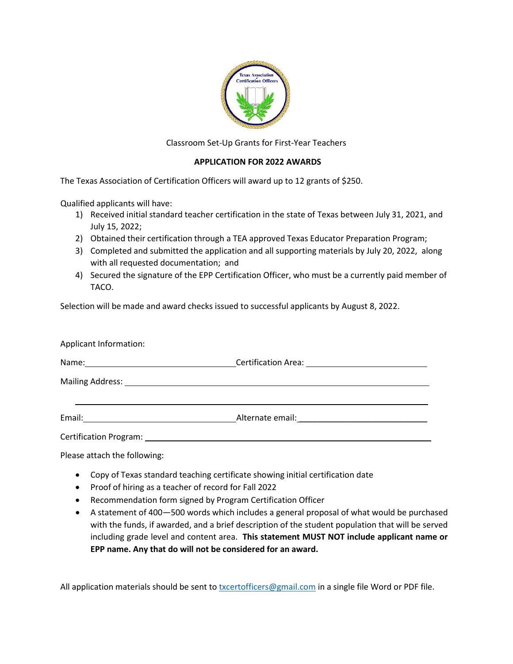

Classroom Set-Up Grants for First-Year Teachers

## **APPLICATION FOR 2022 AWARDS**

The Texas Association of Certification Officers will award up to 12 grants of \$250.

Qualified applicants will have:

- 1) Received initial standard teacher certification in the state of Texas between July 31, 2021, and July 15, 2022;
- 2) Obtained their certification through a TEA approved Texas Educator Preparation Program;
- 3) Completed and submitted the application and all supporting materials by July 20, 2022, along with all requested documentation; and
- 4) Secured the signature of the EPP Certification Officer, who must be a currently paid member of TACO.

Selection will be made and award checks issued to successful applicants by August 8, 2022.

| Applicant Information: |                                                                    |  |
|------------------------|--------------------------------------------------------------------|--|
|                        |                                                                    |  |
|                        |                                                                    |  |
|                        |                                                                    |  |
|                        | Alternate email: <u>contract and alternate and alternate email</u> |  |
|                        |                                                                    |  |

Please attach the following:

- Copy of Texas standard teaching certificate showing initial certification date
- Proof of hiring as a teacher of record for Fall 2022
- Recommendation form signed by Program Certification Officer
- A statement of 400—500 words which includes a general proposal of what would be purchased with the funds, if awarded, and a brief description of the student population that will be served including grade level and content area. **This statement MUST NOT include applicant name or EPP name. Any that do will not be considered for an award.**

All application materials should be sent to **[txcertofficers@gmail.com](mailto:txcertofficers@gmail.com)** in a single file Word or PDF file.